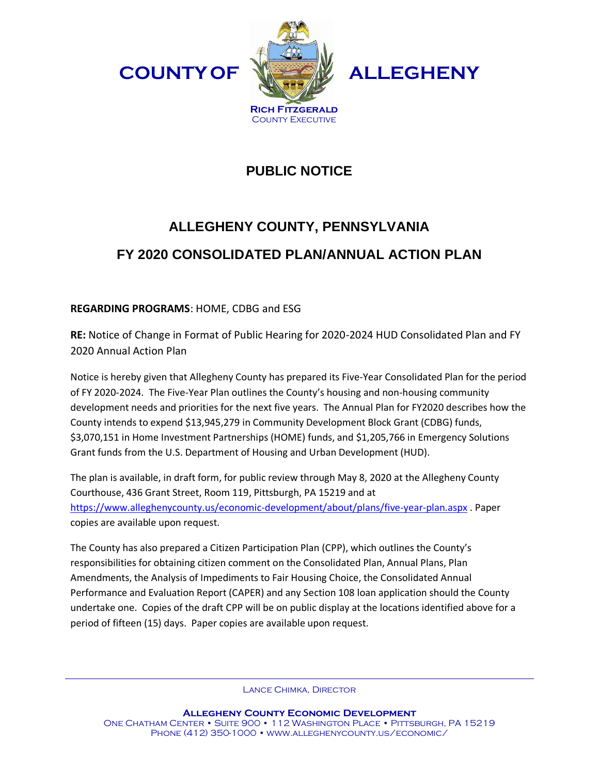



**ALLEGHENY**

## **PUBLIC NOTICE**

## **ALLEGHENY COUNTY, PENNSYLVANIA FY 2020 CONSOLIDATED PLAN/ANNUAL ACTION PLAN**

## **REGARDING PROGRAMS**: HOME, CDBG and ESG

**RE:** Notice of Change in Format of Public Hearing for 2020-2024 HUD Consolidated Plan and FY 2020 Annual Action Plan

Notice is hereby given that Allegheny County has prepared its Five-Year Consolidated Plan for the period of FY 2020-2024. The Five-Year Plan outlines the County's housing and non-housing community development needs and priorities for the next five years. The Annual Plan for FY2020 describes how the County intends to expend \$13,945,279 in Community Development Block Grant (CDBG) funds, \$3,070,151 in Home Investment Partnerships (HOME) funds, and \$1,205,766 in Emergency Solutions Grant funds from the U.S. Department of Housing and Urban Development (HUD).

The plan is available, in draft form, for public review through May 8, 2020 at the Allegheny County Courthouse, 436 Grant Street, Room 119, Pittsburgh, PA 15219 and at <https://www.alleghenycounty.us/economic-development/about/plans/five-year-plan.aspx> . Paper copies are available upon request.

The County has also prepared a Citizen Participation Plan (CPP), which outlines the County's responsibilities for obtaining citizen comment on the Consolidated Plan, Annual Plans, Plan Amendments, the Analysis of Impediments to Fair Housing Choice, the Consolidated Annual Performance and Evaluation Report (CAPER) and any Section 108 loan application should the County undertake one. Copies of the draft CPP will be on public display at the locations identified above for a period of fifteen (15) days. Paper copies are available upon request.

Lance Chimka, Director

**Allegheny County Economic Development** One Chatham Center • Suite 900 • 112 Washington Place • Pittsburgh, PA 15219 Phone (412) 350-1000 • www.alleghenycounty.us/economic/